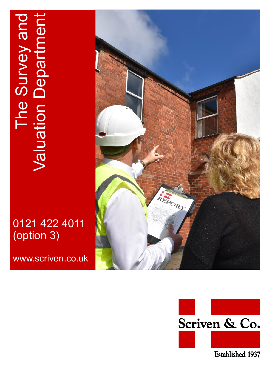# The Survey and<br>Valuation Department Valuation Department The Survey and

# 0121 422 4011 (option 3)

www.scriven.co.uk



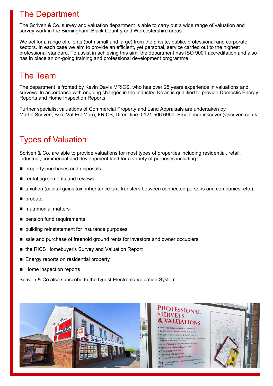## The Department

The Scriven & Co. survey and valuation department is able to carry out a wide range of valuation and survey work in the Birmingham, Black Country and Worcestershire areas.

We act for a range of clients (both small and large) from the private, public, professional and corporate sectors. In each case we aim to provide an efficient, yet personal, service carried out to the highest professional standard. To assist in achieving this aim, the department has ISO 9001 accreditation and also has in place an on-going training and professional development programme.

#### The Team

The department is fronted by Kevin Davis MRICS, who has over 25 years experience in valuations and surveys. In accordance with ongoing changes in the industry, Kevin is qualified to provide Domestic Energy Reports and Home Inspection Reports.

Further specialist valuations of Commercial Property and Land Appraisals are undertaken by Martin Scriven, Bsc (Val Est Man), FRICS, Direct line: 0121 506 6950 Email: martinscriven@scriven.co.uk

# Types of Valuation

Scriven & Co. are able to provide valuations for most types of properties including residential, retail, industrial, commercial and development land for a variety of purposes including:

- **property purchases and disposals**
- $\blacksquare$  rental agreements and reviews
- taxation (capital gains tax, inheritance tax, transfers between connected persons and companies, etc.)
- **p**robate
- matrimonial matters
- pension fund requirements
- building reinstatement for insurance purposes
- sale and purchase of freehold ground rents for investors and owner occupiers
- the RICS Homebuyer's Survey and Valuation Report
- Energy reports on residential property
- Home inspection reports

Scriven & Co also subscribe to the Quest Electronic Valuation System.

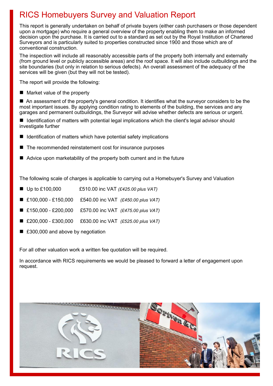# RICS Homebuyers Survey and Valuation Report

This report is generally undertaken on behalf of private buyers (either cash purchasers or those dependent upon a mortgage) who require a general overview of the property enabling them to make an informed decision upon the purchase. It is carried out to a standard as set out by the Royal Institution of Chartered Surveyors and is particularly suited to properties constructed since 1900 and those which are of conventional construction.

The inspection will include all reasonably accessible parts of the property both internally and externally (from ground level or publicly accessible areas) and the roof space. It will also include outbuildings and the site boundaries (but only in relation to serious defects). An overall assessment of the adequacy of the services will be given (but they will not be tested).

The report will provide the following:

■ Market value of the property

 An assessment of the property's general condition. It identifies what the surveyor considers to be the most important issues. By applying condition rating to elements of the building, the services and any garages and permanent outbuildings, the Surveyor will advise whether defects are serious or urgent.

■ Identification of matters with potential legal implications which the client's legal advisor should investigate further

- Identification of matters which have potential safety implications
- The recommended reinstatement cost for insurance purposes
- Advice upon marketability of the property both current and in the future

The following scale of charges is applicable to carrying out a Homebuyer's Survey and Valuation

- Up to £100,000 £510.00 inc VAT *(£425.00 plus VAT)*
- £100,000 £150,000 £540.00 inc VAT *(£450.00 plus VAT)*
- £150,000 £200,000 £570.00 inc VAT *(£475.00 plus VAT)*
- £200,000 £300,000 £630.00 inc VAT *(£525.00 plus VAT)*
- £300,000 and above by negotiation

For all other valuation work a written fee quotation will be required.

In accordance with RICS requirements we would be pleased to forward a letter of engagement upon request.